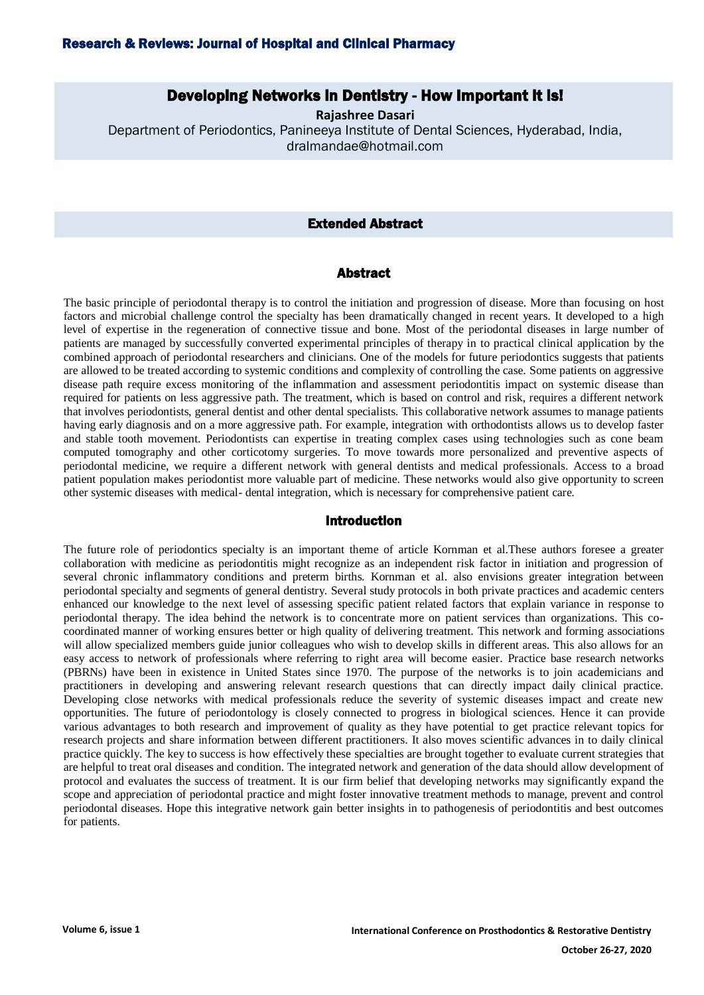### Research & Reviews: Journal of Hospital and Clinical Pharmacy

# Developing Networks in Dentistry - How Important it is!

**Rajashree Dasari** Department of Periodontics, Panineeya Institute of Dental Sciences, Hyderabad, India, dralmandae@hotmail.com

#### Extended Abstract

#### Abstract

The basic principle of periodontal therapy is to control the initiation and progression of disease. More than focusing on host factors and microbial challenge control the specialty has been dramatically changed in recent years. It developed to a high level of expertise in the regeneration of connective tissue and bone. Most of the periodontal diseases in large number of patients are managed by successfully converted experimental principles of therapy in to practical clinical application by the combined approach of periodontal researchers and clinicians. One of the models for future periodontics suggests that patients are allowed to be treated according to systemic conditions and complexity of controlling the case. Some patients on aggressive disease path require excess monitoring of the inflammation and assessment periodontitis impact on systemic disease than required for patients on less aggressive path. The treatment, which is based on control and risk, requires a different network that involves periodontists, general dentist and other dental specialists. This collaborative network assumes to manage patients having early diagnosis and on a more aggressive path. For example, integration with orthodontists allows us to develop faster and stable tooth movement. Periodontists can expertise in treating complex cases using technologies such as cone beam computed tomography and other corticotomy surgeries. To move towards more personalized and preventive aspects of periodontal medicine, we require a different network with general dentists and medical professionals. Access to a broad patient population makes periodontist more valuable part of medicine. These networks would also give opportunity to screen other systemic diseases with medical- dental integration, which is necessary for comprehensive patient care.

#### Introduction

The future role of periodontics specialty is an important theme of article Kornman et al.These authors foresee a greater collaboration with medicine as periodontitis might recognize as an independent risk factor in initiation and progression of several chronic inflammatory conditions and preterm births. Kornman et al. also envisions greater integration between periodontal specialty and segments of general dentistry. Several study protocols in both private practices and academic centers enhanced our knowledge to the next level of assessing specific patient related factors that explain variance in response to periodontal therapy. The idea behind the network is to concentrate more on patient services than organizations. This cocoordinated manner of working ensures better or high quality of delivering treatment. This network and forming associations will allow specialized members guide junior colleagues who wish to develop skills in different areas. This also allows for an easy access to network of professionals where referring to right area will become easier. Practice base research networks (PBRNs) have been in existence in United States since 1970. The purpose of the networks is to join academicians and practitioners in developing and answering relevant research questions that can directly impact daily clinical practice. Developing close networks with medical professionals reduce the severity of systemic diseases impact and create new opportunities. The future of periodontology is closely connected to progress in biological sciences. Hence it can provide various advantages to both research and improvement of quality as they have potential to get practice relevant topics for research projects and share information between different practitioners. It also moves scientific advances in to daily clinical practice quickly. The key to success is how effectively these specialties are brought together to evaluate current strategies that are helpful to treat oral diseases and condition. The integrated network and generation of the data should allow development of protocol and evaluates the success of treatment. It is our firm belief that developing networks may significantly expand the scope and appreciation of periodontal practice and might foster innovative treatment methods to manage, prevent and control periodontal diseases. Hope this integrative network gain better insights in to pathogenesis of periodontitis and best outcomes for patients.